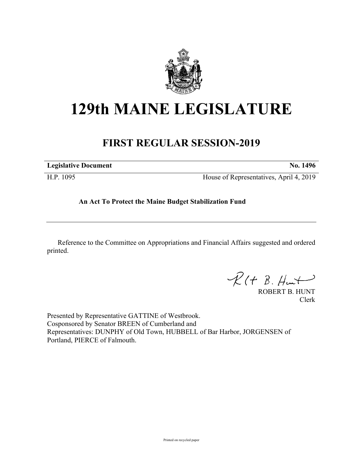

# **129th MAINE LEGISLATURE**

# **FIRST REGULAR SESSION-2019**

| <b>Legislative Document</b> | No. 1496                                |
|-----------------------------|-----------------------------------------|
| H.P. 1095                   | House of Representatives, April 4, 2019 |

## **An Act To Protect the Maine Budget Stabilization Fund**

Reference to the Committee on Appropriations and Financial Affairs suggested and ordered printed.

 $R(t B. Hmt)$ 

ROBERT B. HUNT Clerk

Presented by Representative GATTINE of Westbrook. Cosponsored by Senator BREEN of Cumberland and Representatives: DUNPHY of Old Town, HUBBELL of Bar Harbor, JORGENSEN of Portland, PIERCE of Falmouth.